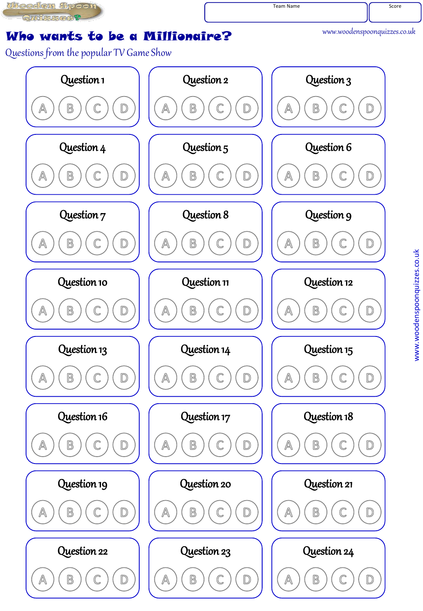**UNeedom Spoon** Quizzes?

Team Name Score

www.woodenspoonquizzes.co.uk

## Who wants to be a Millionaire?

Questions from the popular TV Game Show

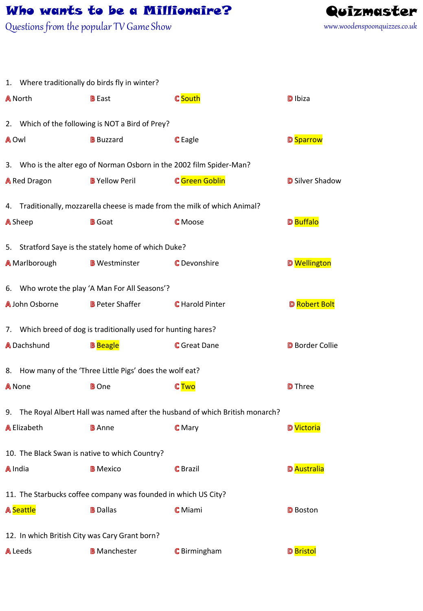## Who wants to be a Millionaire? Quizmaster

Questions from the popular TV Game Show



|       | 1. Where traditionally do birds fly in winter?                             |                                                                       |                                                                                |                        |  |  |  |
|-------|----------------------------------------------------------------------------|-----------------------------------------------------------------------|--------------------------------------------------------------------------------|------------------------|--|--|--|
|       | <b>A</b> North                                                             | <b>B</b> East                                                         | <b>C</b> South                                                                 | D Ibiza                |  |  |  |
|       |                                                                            | 2. Which of the following is NOT a Bird of Prey?                      |                                                                                |                        |  |  |  |
| A Owl |                                                                            | <b>B</b> Buzzard                                                      | <b>C</b> Eagle                                                                 | <b>D</b> Sparrow       |  |  |  |
|       |                                                                            | 3. Who is the alter ego of Norman Osborn in the 2002 film Spider-Man? |                                                                                |                        |  |  |  |
|       | <b>A</b> Red Dragon                                                        | <b>B</b> Yellow Peril                                                 | <b>C</b> Green Goblin                                                          | <b>D</b> Silver Shadow |  |  |  |
|       | 4. Traditionally, mozzarella cheese is made from the milk of which Animal? |                                                                       |                                                                                |                        |  |  |  |
|       | <b>A</b> Sheep                                                             | <b>B</b> Goat                                                         | <b>C</b> Moose                                                                 | D Buffalo              |  |  |  |
|       | 5. Stratford Saye is the stately home of which Duke?                       |                                                                       |                                                                                |                        |  |  |  |
|       | <b>A</b> Marlborough                                                       | <b>B</b> Westminster                                                  | <b>C</b> Devonshire                                                            | <b>D</b> Wellington    |  |  |  |
|       | 6. Who wrote the play 'A Man For All Seasons'?                             |                                                                       |                                                                                |                        |  |  |  |
|       | A John Osborne                                                             | <b>B</b> Peter Shaffer                                                | <b>C</b> Harold Pinter                                                         | <b>D</b> Robert Bolt   |  |  |  |
|       | 7. Which breed of dog is traditionally used for hunting hares?             |                                                                       |                                                                                |                        |  |  |  |
|       | <b>A</b> Dachshund                                                         | <b>B</b> Beagle                                                       | <b>G</b> Great Dane                                                            | <b>D</b> Border Collie |  |  |  |
|       | 8. How many of the 'Three Little Pigs' does the wolf eat?                  |                                                                       |                                                                                |                        |  |  |  |
|       | A None                                                                     | <b>B</b> One                                                          | <b>CTwo</b>                                                                    | <b>D</b> Three         |  |  |  |
|       |                                                                            |                                                                       | 9. The Royal Albert Hall was named after the husband of which British monarch? |                        |  |  |  |
|       | <b>A</b> Elizabeth <b>B</b> Anne                                           |                                                                       | $\mathbb C$ Mary                                                               | D Victoria             |  |  |  |
|       |                                                                            | 10. The Black Swan is native to which Country?                        |                                                                                |                        |  |  |  |
|       | A India                                                                    | <b>B</b> Mexico                                                       | <b>C</b> Brazil                                                                | <b>D</b> Australia     |  |  |  |
|       | 11. The Starbucks coffee company was founded in which US City?             |                                                                       |                                                                                |                        |  |  |  |
|       | <b>A</b> Seattle                                                           | <b>B</b> Dallas                                                       | <b>C</b> Miami                                                                 | <b>D</b> Boston        |  |  |  |
|       |                                                                            | 12. In which British City was Cary Grant born?                        |                                                                                |                        |  |  |  |
|       | A Leeds                                                                    | <b>B</b> Manchester                                                   | <b>C</b> Birmingham                                                            | <b>D</b> Bristol       |  |  |  |